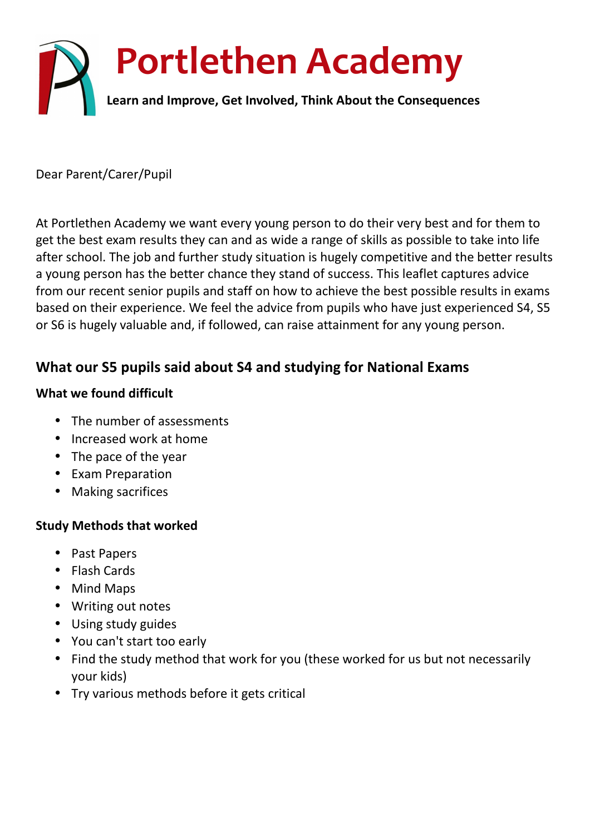

Dear Parent/Carer/Pupil

At Portlethen Academy we want every young person to do their very best and for them to get the best exam results they can and as wide a range of skills as possible to take into life after school. The job and further study situation is hugely competitive and the better results a young person has the better chance they stand of success. This leaflet captures advice from our recent senior pupils and staff on how to achieve the best possible results in exams based on their experience. We feel the advice from pupils who have just experienced S4, S5 or S6 is hugely valuable and, if followed, can raise attainment for any young person.

# **What our S5 pupils said about S4 and studying for National Exams**

#### **What we found difficult**

- The number of assessments
- Increased work at home
- The pace of the year
- Exam Preparation
- Making sacrifices

#### **Study Methods that worked**

- Past Papers
- Flash Cards
- Mind Maps
- Writing out notes
- Using study guides
- You can't start too early
- Find the study method that work for you (these worked for us but not necessarily your kids)
- Try various methods before it gets critical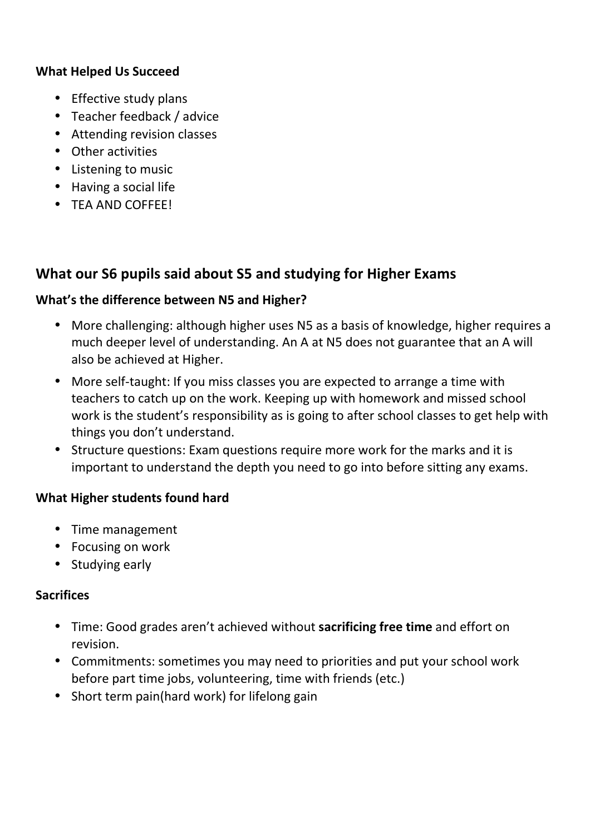## **What Helped Us Succeed**

- Effective study plans
- Teacher feedback / advice
- Attending revision classes
- Other activities
- Listening to music
- Having a social life
- TEA AND COFFEE!

# **What our S6 pupils said about S5 and studying for Higher Exams**

#### **What's the difference between N5 and Higher?**

- More challenging: although higher uses N5 as a basis of knowledge, higher requires a much deeper level of understanding. An A at N5 does not guarantee that an A will also be achieved at Higher.
- More self-taught: If you miss classes you are expected to arrange a time with teachers to catch up on the work. Keeping up with homework and missed school work is the student's responsibility as is going to after school classes to get help with things you don't understand.
- Structure questions: Exam questions require more work for the marks and it is important to understand the depth you need to go into before sitting any exams.

## **What Higher students found hard**

- Time management
- Focusing on work
- Studying early

#### **Sacrifices**

- Time: Good grades aren't achieved without **sacrificing free time** and effort on revision.
- Commitments: sometimes you may need to priorities and put your school work before part time jobs, volunteering, time with friends (etc.)
- Short term pain(hard work) for lifelong gain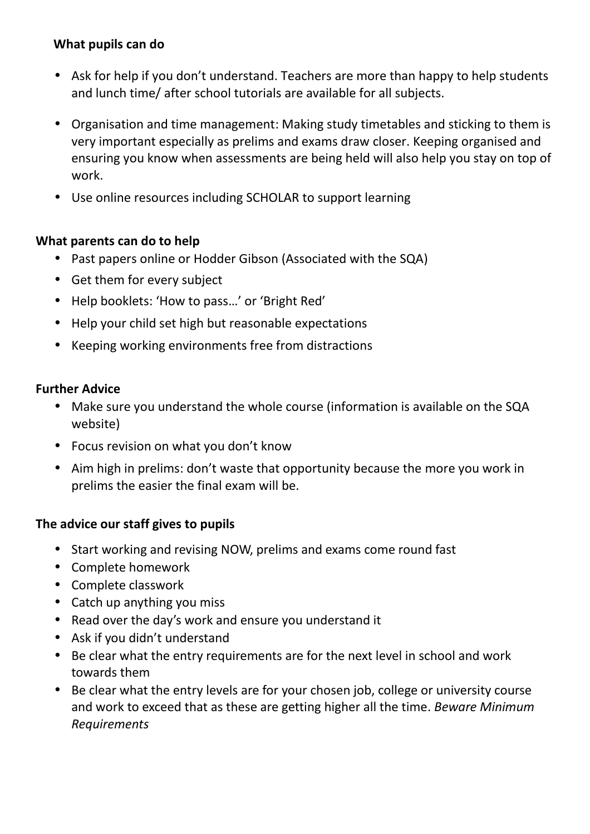#### **What pupils can do**

- Ask for help if you don't understand. Teachers are more than happy to help students and lunch time/ after school tutorials are available for all subjects.
- Organisation and time management: Making study timetables and sticking to them is very important especially as prelims and exams draw closer. Keeping organised and ensuring you know when assessments are being held will also help you stay on top of work.
- Use online resources including SCHOLAR to support learning

## **What parents can do to help**

- Past papers online or Hodder Gibson (Associated with the SQA)
- Get them for every subject
- Help booklets: 'How to pass…' or 'Bright Red'
- Help your child set high but reasonable expectations
- Keeping working environments free from distractions

## **Further Advice**

- Make sure you understand the whole course (information is available on the SQA website)
- Focus revision on what you don't know
- Aim high in prelims: don't waste that opportunity because the more you work in prelims the easier the final exam will be.

## **The advice our staff gives to pupils**

- Start working and revising NOW, prelims and exams come round fast
- Complete homework
- Complete classwork
- Catch up anything you miss
- Read over the day's work and ensure you understand it
- Ask if you didn't understand
- Be clear what the entry requirements are for the next level in school and work towards them
- Be clear what the entry levels are for your chosen job, college or university course and work to exceed that as these are getting higher all the time. *Beware Minimum Requirements*